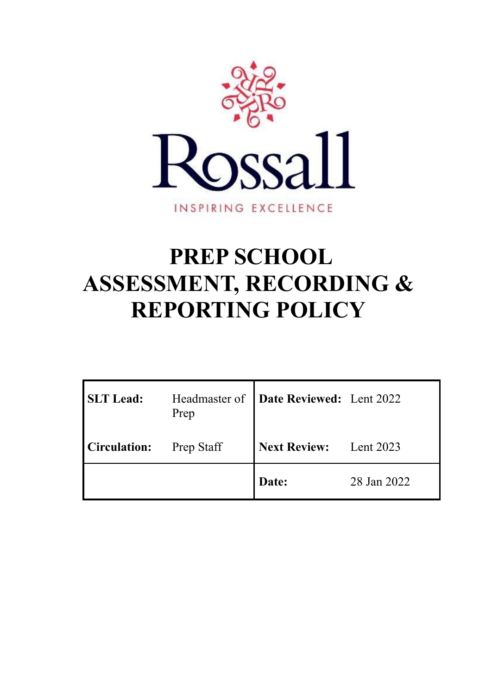

# **PREP SCHOOL ASSESSMENT, RECORDING & REPORTING POLICY**

| <b>SLT</b> Lead:    | Prep              | Headmaster of <b>Date Reviewed:</b> Lent 2022 |             |
|---------------------|-------------------|-----------------------------------------------|-------------|
| <b>Circulation:</b> | <b>Prep Staff</b> | <b>Next Review:</b> Lent 2023                 |             |
|                     |                   | Date:                                         | 28 Jan 2022 |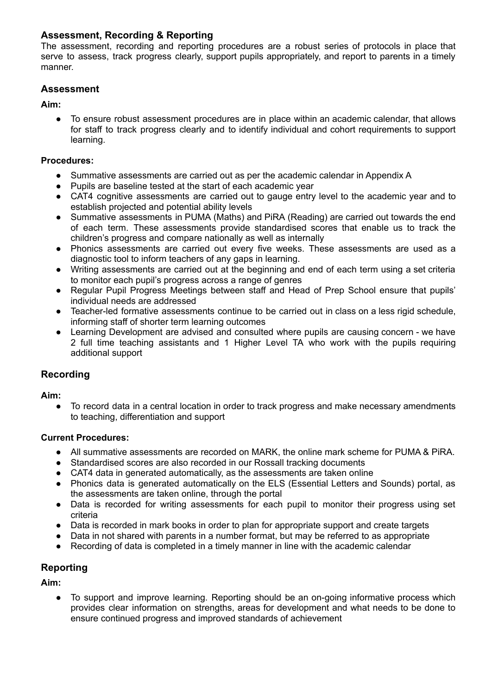# **Assessment, Recording & Reporting**

The assessment, recording and reporting procedures are a robust series of protocols in place that serve to assess, track progress clearly, support pupils appropriately, and report to parents in a timely manner.

# **Assessment**

**Aim:**

● To ensure robust assessment procedures are in place within an academic calendar, that allows for staff to track progress clearly and to identify individual and cohort requirements to support learning.

#### **Procedures:**

- Summative assessments are carried out as per the academic calendar in Appendix A
- Pupils are baseline tested at the start of each academic year
- CAT4 cognitive assessments are carried out to gauge entry level to the academic year and to establish projected and potential ability levels
- Summative assessments in PUMA (Maths) and PiRA (Reading) are carried out towards the end of each term. These assessments provide standardised scores that enable us to track the children's progress and compare nationally as well as internally
- Phonics assessments are carried out every five weeks. These assessments are used as a diagnostic tool to inform teachers of any gaps in learning.
- Writing assessments are carried out at the beginning and end of each term using a set criteria to monitor each pupil's progress across a range of genres
- Regular Pupil Progress Meetings between staff and Head of Prep School ensure that pupils' individual needs are addressed
- Teacher-led formative assessments continue to be carried out in class on a less rigid schedule, informing staff of shorter term learning outcomes
- Learning Development are advised and consulted where pupils are causing concern we have 2 full time teaching assistants and 1 Higher Level TA who work with the pupils requiring additional support

## **Recording**

**Aim:**

To record data in a central location in order to track progress and make necessary amendments to teaching, differentiation and support

#### **Current Procedures:**

- All summative assessments are recorded on MARK, the online mark scheme for PUMA & PiRA.
- Standardised scores are also recorded in our Rossall tracking documents
- CAT4 data in generated automatically, as the assessments are taken online
- Phonics data is generated automatically on the ELS (Essential Letters and Sounds) portal, as the assessments are taken online, through the portal
- Data is recorded for writing assessments for each pupil to monitor their progress using set criteria
- Data is recorded in mark books in order to plan for appropriate support and create targets
- Data in not shared with parents in a number format, but may be referred to as appropriate
- Recording of data is completed in a timely manner in line with the academic calendar

## **Reporting**

**Aim:**

● To support and improve learning. Reporting should be an on-going informative process which provides clear information on strengths, areas for development and what needs to be done to ensure continued progress and improved standards of achievement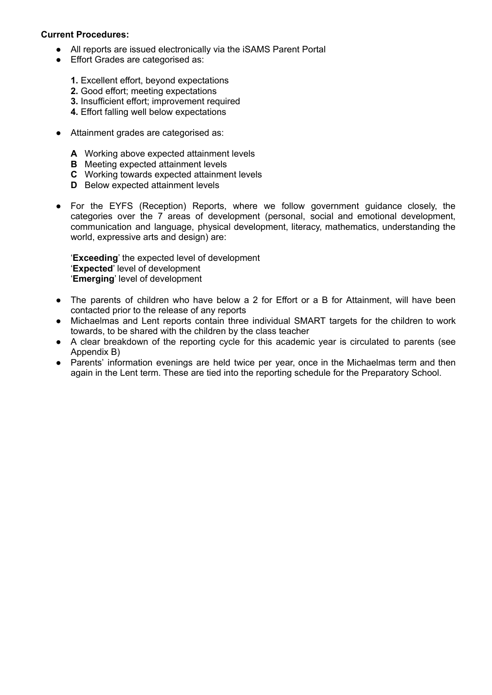#### **Current Procedures:**

- All reports are issued electronically via the iSAMS Parent Portal
- Effort Grades are categorised as:
	- **1.** Excellent effort, beyond expectations
	- **2.** Good effort; meeting expectations
	- **3.** Insufficient effort; improvement required
	- **4.** Effort falling well below expectations
- Attainment grades are categorised as:
	- **A** Working above expected attainment levels
	- **B** Meeting expected attainment levels
	- **C** Working towards expected attainment levels
	- **D** Below expected attainment levels
- For the EYFS (Reception) Reports, where we follow government guidance closely, the categories over the 7 areas of development (personal, social and emotional development, communication and language, physical development, literacy, mathematics, understanding the world, expressive arts and design) are:

'**Exceeding**' the expected level of development '**Expected**' level of development '**Emerging**' level of development

- The parents of children who have below a 2 for Effort or a B for Attainment, will have been contacted prior to the release of any reports
- Michaelmas and Lent reports contain three individual SMART targets for the children to work towards, to be shared with the children by the class teacher
- A clear breakdown of the reporting cycle for this academic year is circulated to parents (see Appendix B)
- Parents' information evenings are held twice per year, once in the Michaelmas term and then again in the Lent term. These are tied into the reporting schedule for the Preparatory School.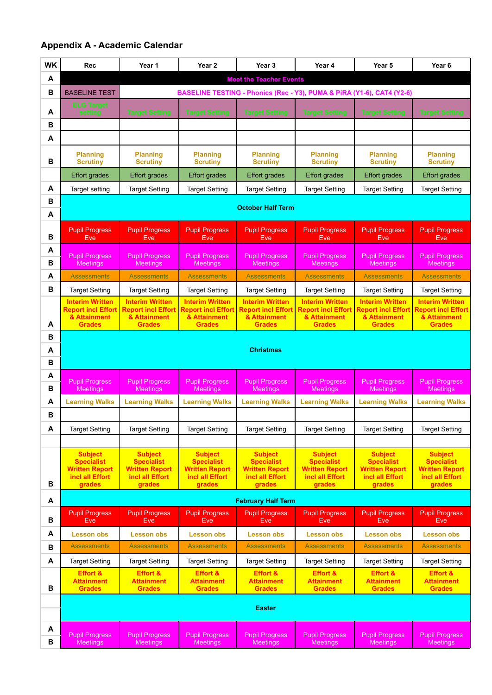# **Appendix A - Academic Calendar**

| <b>WK</b> | <b>Rec</b>                                          | Year 1                                              | Year <sub>2</sub>                                   | Year <sub>3</sub>                                   | Year 4                                                                 | Year 5                                              | Year <sub>6</sub>                                   |
|-----------|-----------------------------------------------------|-----------------------------------------------------|-----------------------------------------------------|-----------------------------------------------------|------------------------------------------------------------------------|-----------------------------------------------------|-----------------------------------------------------|
| А         |                                                     | <b>Meet the Teacher Events</b>                      |                                                     |                                                     |                                                                        |                                                     |                                                     |
| B         | <b>BASELINE TEST</b>                                |                                                     |                                                     |                                                     | BASELINE TESTING - Phonics (Rec - Y3), PUMA & PIRA (Y1-6), CAT4 (Y2-6) |                                                     |                                                     |
| А         | <b>ELG Target</b><br>setting                        | <b>Target Setting</b>                               | <b>Target Setting</b>                               | <b>Target Setting</b>                               | <b>Target Setting</b>                                                  | <b>Target Setting</b>                               | <b>Target Setting</b>                               |
| B         |                                                     |                                                     |                                                     |                                                     |                                                                        |                                                     |                                                     |
| A         |                                                     |                                                     |                                                     |                                                     |                                                                        |                                                     |                                                     |
|           | <b>Planning</b>                                     | <b>Planning</b>                                     | <b>Planning</b>                                     | <b>Planning</b>                                     | <b>Planning</b>                                                        | <b>Planning</b>                                     | <b>Planning</b>                                     |
| B         | <b>Scrutiny</b>                                     | <b>Scrutiny</b>                                     | <b>Scrutiny</b>                                     | <b>Scrutiny</b>                                     | <b>Scrutiny</b>                                                        | <b>Scrutiny</b>                                     | <b>Scrutiny</b>                                     |
|           | <b>Effort grades</b>                                | <b>Effort grades</b>                                | <b>Effort grades</b>                                | <b>Effort grades</b>                                | <b>Effort grades</b>                                                   | <b>Effort grades</b>                                | <b>Effort grades</b>                                |
| A         | Target setting                                      | <b>Target Setting</b>                               | <b>Target Setting</b>                               | <b>Target Setting</b>                               | <b>Target Setting</b>                                                  | <b>Target Setting</b>                               | <b>Target Setting</b>                               |
| B<br>A    |                                                     |                                                     |                                                     | <b>October Half Term</b>                            |                                                                        |                                                     |                                                     |
|           |                                                     |                                                     |                                                     |                                                     |                                                                        |                                                     |                                                     |
| B         | <b>Pupil Progress</b><br><b>Eve</b>                 | <b>Pupil Progress</b><br>Eve                        | <b>Pupil Progress</b><br><b>Eve</b>                 | <b>Pupil Progress</b><br>Eve                        | <b>Pupil Progress</b><br><b>Eve</b>                                    | <b>Pupil Progress</b><br><b>Eve</b>                 | <b>Pupil Progress</b><br><b>Eve</b>                 |
| A         | <b>Pupil Progress</b>                               | <b>Pupil Progress</b>                               | <b>Pupil Progress</b>                               | <b>Pupil Progress</b>                               | <b>Pupil Progress</b>                                                  | <b>Pupil Progress</b>                               | <b>Pupil Progress</b>                               |
| B         | <b>Meetings</b>                                     | Meetings                                            | <b>Meetings</b>                                     | <b>Meetings</b>                                     | Meetings                                                               | <b>Meetings</b>                                     | Meetings                                            |
| A         | <b>Assessments</b>                                  | <b>Assessments</b>                                  | <b>Assessments</b>                                  | <b>Assessments</b>                                  | <b>Assessments</b>                                                     | <b>Assessments</b>                                  | <b>Assessments</b>                                  |
| В         | <b>Target Setting</b>                               | <b>Target Setting</b>                               | <b>Target Setting</b>                               | Target Setting                                      | <b>Target Setting</b>                                                  | <b>Target Setting</b>                               | <b>Target Setting</b>                               |
|           | <b>Interim Written</b><br><b>Report incl Effort</b> | <b>Interim Written</b><br><b>Report incl Effort</b> | <b>Interim Written</b><br><b>Report incl Effort</b> | <b>Interim Written</b><br><b>Report incl Effort</b> | <b>Interim Written</b><br><b>Report incl Effort</b>                    | <b>Interim Written</b><br><b>Report incl Effort</b> | <b>Interim Written</b><br><b>Report incl Effort</b> |
| А         | & Attainment<br><b>Grades</b>                       | & Attainment<br><b>Grades</b>                       | & Attainment<br><b>Grades</b>                       | & Attainment<br><b>Grades</b>                       | & Attainment<br><b>Grades</b>                                          | & Attainment<br><b>Grades</b>                       | & Attainment<br><b>Grades</b>                       |
| B         |                                                     |                                                     |                                                     |                                                     |                                                                        |                                                     |                                                     |
| А         |                                                     |                                                     |                                                     | <b>Christmas</b>                                    |                                                                        |                                                     |                                                     |
| B         |                                                     |                                                     |                                                     |                                                     |                                                                        |                                                     |                                                     |
| Α         | <b>Pupil Progress</b>                               | <b>Pupil Progress</b>                               | <b>Pupil Progress</b>                               | <b>Pupil Progress</b>                               | <b>Pupil Progress</b>                                                  | <b>Pupil Progress</b>                               | <b>Pupil Progress</b>                               |
| B         | Meetings                                            | <b>Meetings</b>                                     | <b>Meetings</b>                                     | <b>Meetings</b>                                     | <b>Meetings</b>                                                        | <b>Meetings</b>                                     | <b>Meetings</b>                                     |
| A<br>В    | <b>Learning Walks</b>                               | <b>Learning Walks</b>                               | <b>Learning Walks</b>                               | <b>Learning Walks</b>                               | <b>Learning Walks</b>                                                  | <b>Learning Walks</b>                               | <b>Learning Walks</b>                               |
| A         | <b>Target Setting</b>                               | <b>Target Setting</b>                               | <b>Target Setting</b>                               | <b>Target Setting</b>                               | <b>Target Setting</b>                                                  | <b>Target Setting</b>                               | <b>Target Setting</b>                               |
|           |                                                     |                                                     |                                                     |                                                     |                                                                        |                                                     |                                                     |
|           | <b>Subject</b>                                      | <b>Subject</b>                                      | <b>Subject</b>                                      | <b>Subject</b>                                      | <b>Subject</b>                                                         | <b>Subject</b>                                      | <b>Subject</b>                                      |
|           | <b>Specialist</b><br><b>Written Report</b>          | <b>Specialist</b><br><b>Written Report</b>          | <b>Specialist</b><br><b>Written Report</b>          | <b>Specialist</b><br><b>Written Report</b>          | <b>Specialist</b><br><b>Written Report</b>                             | <b>Specialist</b><br><b>Written Report</b>          | <b>Specialist</b><br><b>Written Report</b>          |
| В         | incl all Effort<br>grades                           | incl all Effort<br>grades                           | incl all Effort<br>grades                           | incl all Effort<br>grades                           | incl all Effort<br>grades                                              | incl all Effort<br>grades                           | incl all Effort<br>grades                           |
| A         | <b>February Half Term</b>                           |                                                     |                                                     |                                                     |                                                                        |                                                     |                                                     |
|           | <b>Pupil Progress</b>                               | <b>Pupil Progress</b>                               | <b>Pupil Progress</b>                               | <b>Pupil Progress</b>                               | <b>Pupil Progress</b>                                                  | <b>Pupil Progress</b>                               | <b>Pupil Progress</b>                               |
| B         | <b>Eve</b>                                          | <b>Eve</b>                                          | Eve                                                 | <b>Eve</b>                                          | Eve                                                                    | Eve<br><b>Lesson obs</b>                            | Eve                                                 |
| А<br>В    | <b>Lesson obs</b><br><b>Assessments</b>             | <b>Lesson obs</b><br><b>Assessments</b>             | <b>Lesson obs</b><br><b>Assessments</b>             | <b>Lesson obs</b><br><b>Assessments</b>             | <b>Lesson obs</b><br><b>Assessments</b>                                | <b>Assessments</b>                                  | <b>Lesson obs</b><br><b>Assessments</b>             |
| A         | <b>Target Setting</b>                               | <b>Target Setting</b>                               | <b>Target Setting</b>                               | <b>Target Setting</b>                               | <b>Target Setting</b>                                                  | <b>Target Setting</b>                               | <b>Target Setting</b>                               |
|           | <b>Effort &amp;</b>                                 | <b>Effort &amp;</b>                                 | <b>Effort &amp;</b>                                 | <b>Effort &amp;</b>                                 | <b>Effort &amp;</b>                                                    | <b>Effort &amp;</b>                                 | <b>Effort &amp;</b>                                 |
| В         | <b>Attainment</b><br><b>Grades</b>                  | <b>Attainment</b><br><b>Grades</b>                  | <b>Attainment</b><br><b>Grades</b>                  | <b>Attainment</b><br><b>Grades</b>                  | <b>Attainment</b><br><b>Grades</b>                                     | <b>Attainment</b><br><b>Grades</b>                  | <b>Attainment</b><br><b>Grades</b>                  |
|           |                                                     |                                                     |                                                     |                                                     |                                                                        |                                                     |                                                     |
|           |                                                     |                                                     |                                                     | <b>Easter</b>                                       |                                                                        |                                                     |                                                     |
| А         | <b>Pupil Progress</b>                               | <b>Pupil Progress</b>                               | <b>Pupil Progress</b>                               | <b>Pupil Progress</b>                               | <b>Pupil Progress</b>                                                  | <b>Pupil Progress</b>                               | <b>Pupil Progress</b>                               |
| В         | <b>Meetings</b>                                     | <b>Meetings</b>                                     | <b>Meetings</b>                                     | <b>Meetings</b>                                     | <b>Meetings</b>                                                        | <b>Meetings</b>                                     | <b>Meetings</b>                                     |